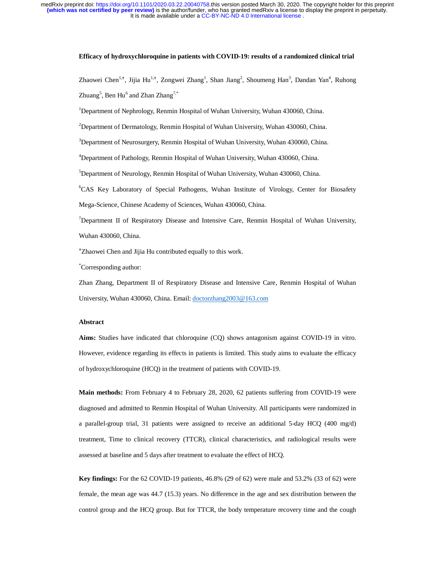### **Efficacy of hydroxychloroquine in patients with COVID-19: results of a randomized clinical trial**

Zhaowei Chen<sup>1,†</sup>, Jijia Hu<sup>1,†</sup>, Zongwei Zhang<sup>1</sup>, Shan Jiang<sup>2</sup>, Shoumeng Han<sup>3</sup>, Dandan Yan<sup>4</sup>, Ruhong Zhuang $^5$ , Ben Hu $^6$  and Zhan Zhang $^{7,*}$ 

<sup>1</sup>Department of Nephrology, Renmin Hospital of Wuhan University, Wuhan 430060, China.

 $2$ Department of Dermatology, Renmin Hospital of Wuhan University, Wuhan 430060, China.

<sup>3</sup>Department of Neurosurgery, Renmin Hospital of Wuhan University, Wuhan 430060, China.

<sup>4</sup>Department of Pathology, Renmin Hospital of Wuhan University, Wuhan 430060, China.

5 Department of Neurology, Renmin Hospital of Wuhan University, Wuhan 430060, China.

<sup>6</sup>CAS Key Laboratory of Special Pathogens, Wuhan Institute of Virology, Center for Biosafety Mega-Science, Chinese Academy of Sciences, Wuhan 430060, China.

<sup>7</sup>Department II of Respiratory Disease and Intensive Care, Renmin Hospital of Wuhan University, Wuhan 430060, China.

Zhaowei Chen and Jijia Hu contributed equally to this work.

\* Corresponding author:

Zhan Zhang, Department II of Respiratory Disease and Intensive Care, Renmin Hospital of Wuhan University, Wuhan 430060, China. Email: doctorzhang2003@163.com

#### **Abstract**

**Aims:** Studies have indicated that chloroquine (CQ) shows antagonism against COVID-19 in vitro. However, evidence regarding its effects in patients is limited. This study aims to evaluate the efficacy of hydroxychloroquine (HCQ) in the treatment of patients with COVID-19.

**Main methods:** From February 4 to February 28, 2020, 62 patients suffering from COVID-19 were diagnosed and admitted to Renmin Hospital of Wuhan University. All participants were randomized in a parallel-group trial, 31 patients were assigned to receive an additional 5-day HCQ (400 mg/d) treatment, Time to clinical recovery (TTCR), clinical characteristics, and radiological results were assessed at baseline and 5 days after treatment to evaluate the effect of HCQ.

**Key findings:** For the 62 COVID-19 patients, 46.8% (29 of 62) were male and 53.2% (33 of 62) were female, the mean age was 44.7 (15.3) years. No difference in the age and sex distribution between the control group and the HCQ group. But for TTCR, the body temperature recovery time and the cough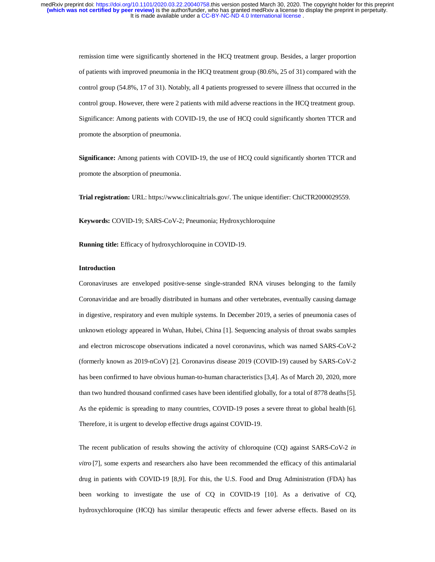remission time were significantly shortened in the HCQ treatment group. Besides, a larger proportion of patients with improved pneumonia in the HCQ treatment group (80.6%, 25 of 31) compared with the control group (54.8%, 17 of 31). Notably, all 4 patients progressed to severe illness that occurred in the control group. However, there were 2 patients with mild adverse reactions in the HCQ treatment group. Significance: Among patients with COVID-19, the use of HCQ could significantly shorten TTCR and promote the absorption of pneumonia.

**Significance:** Among patients with COVID-19, the use of HCQ could significantly shorten TTCR and promote the absorption of pneumonia.

**Trial registration:** URL: https://www.clinicaltrials.gov/. The unique identifier: ChiCTR2000029559.

**Keywords:** COVID-19; SARS-CoV-2; Pneumonia; Hydroxychloroquine

**Running title:** Efficacy of hydroxychloroquine in COVID-19.

# **Introduction**

Coronaviruses are enveloped positive-sense single-stranded RNA viruses belonging to the family Coronaviridae and are broadly distributed in humans and other vertebrates, eventually causing damage in digestive, respiratory and even multiple systems. In December 2019, a series of pneumonia cases of unknown etiology appeared in Wuhan, Hubei, China [1]. Sequencing analysis of throat swabs samples and electron microscope observations indicated a novel coronavirus, which was named SARS-CoV-2 (formerly known as 2019-nCoV) [2]. Coronavirus disease 2019 (COVID-19) caused by SARS-CoV-2 has been confirmed to have obvious human-to-human characteristics [3,4]. As of March 20, 2020, more than two hundred thousand confirmed cases have been identified globally, for a total of 8778 deaths[5]. As the epidemic is spreading to many countries, COVID-19 poses a severe threat to global health [6]. Therefore, it is urgent to develop effective drugs against COVID-19.

The recent publication of results showing the activity of chloroquine (CQ) against SARS-CoV-2 *in vitro* [7]*,* some experts and researchers also have been recommended the efficacy of this antimalarial drug in patients with COVID-19 [8,9]. For this, the U.S. Food and Drug Administration (FDA) has been working to investigate the use of CQ in COVID-19 [10]. As a derivative of CQ, hydroxychloroquine (HCQ) has similar therapeutic effects and fewer adverse effects. Based on its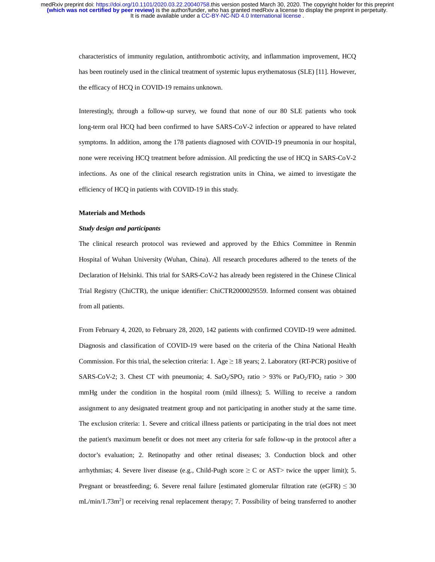> characteristics of immunity regulation, antithrombotic activity, and inflammation improvement, HCQ has been routinely used in the clinical treatment of systemic lupus erythematosus (SLE) [11]. However, the efficacy of HCQ in COVID-19 remains unknown.

> Interestingly, through a follow-up survey, we found that none of our 80 SLE patients who took long-term oral HCQ had been confirmed to have SARS-CoV-2 infection or appeared to have related symptoms. In addition, among the 178 patients diagnosed with COVID-19 pneumonia in our hospital, none were receiving HCQ treatment before admission. All predicting the use of HCQ in SARS-CoV-2 infections. As one of the clinical research registration units in China, we aimed to investigate the efficiency of HCQ in patients with COVID-19 in this study.

#### **Materials and Methods**

#### *Study design and participants*

The clinical research protocol was reviewed and approved by the Ethics Committee in Renmin Hospital of Wuhan University (Wuhan, China). All research procedures adhered to the tenets of the Declaration of Helsinki. This trial for SARS-CoV-2 has already been registered in the Chinese Clinical Trial Registry (ChiCTR), the unique identifier: ChiCTR2000029559. Informed consent was obtained from all patients.

From February 4, 2020, to February 28, 2020, 142 patients with confirmed COVID-19 were admitted. Diagnosis and classification of COVID-19 were based on the criteria of the China National Health Commission. For this trial, the selection criteria: 1. Age  $\geq$  18 years; 2. Laboratory (RT-PCR) positive of SARS-CoV-2; 3. Chest CT with pneumonia; 4. SaO<sub>2</sub>/SPO<sub>2</sub> ratio > 93% or PaO<sub>2</sub>/FIO<sub>2</sub> ratio > 300 mmHg under the condition in the hospital room (mild illness); 5. Willing to receive a random assignment to any designated treatment group and not participating in another study at the same time. The exclusion criteria: 1. Severe and critical illness patients or participating in the trial does not meet the patient's maximum benefit or does not meet any criteria for safe follow-up in the protocol after a doctor's evaluation; 2. Retinopathy and other retinal diseases; 3. Conduction block and other arrhythmias; 4. Severe liver disease (e.g., Child-Pugh score  $\geq C$  or AST> twice the upper limit); 5. Pregnant or breastfeeding; 6. Severe renal failure [estimated glomerular filtration rate (eGFR)  $\leq$  30 mL/min/1.73m<sup>2</sup>] or receiving renal replacement therapy; 7. Possibility of being transferred to another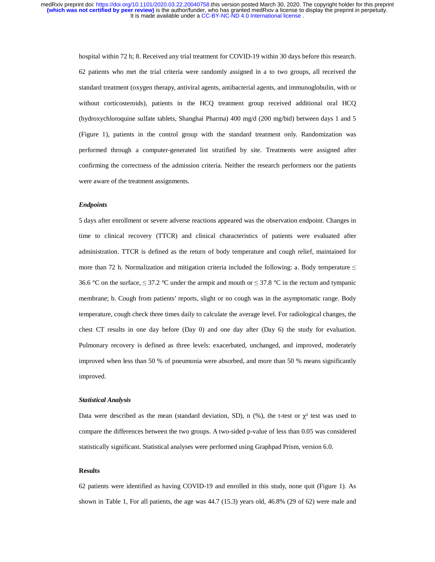> hospital within 72 h; 8. Received any trial treatment for COVID-19 within 30 days before this research. 62 patients who met the trial criteria were randomly assigned in a to two groups, all received the standard treatment (oxygen therapy, antiviral agents, antibacterial agents, and immunoglobulin, with or without corticosteroids), patients in the HCQ treatment group received additional oral HCQ (hydroxychloroquine sulfate tablets, Shanghai Pharma) 400 mg/d (200 mg/bid) between days 1 and 5 (Figure 1), patients in the control group with the standard treatment only. Randomization was performed through a computer-generated list stratified by site. Treatments were assigned after confirming the correctness of the admission criteria. Neither the research performers nor the patients were aware of the treatment assignments.

#### *Endpoints*

5 days after enrollment or severe adverse reactions appeared was the observation endpoint. Changes in time to clinical recovery (TTCR) and clinical characteristics of patients were evaluated after administration. TTCR is defined as the return of body temperature and cough relief, maintained for more than 72 h. Normalization and mitigation criteria included the following: a. Body temperature  $\leq$ 36.6 °C on the surface,  $\leq$  37.2 °C under the armpit and mouth or  $\leq$  37.8 °C in the rectum and tympanic membrane; b. Cough from patients' reports, slight or no cough was in the asymptomatic range. Body temperature, cough check three times daily to calculate the average level. For radiological changes, the chest CT results in one day before (Day 0) and one day after (Day 6) the study for evaluation. Pulmonary recovery is defined as three levels: exacerbated, unchanged, and improved, moderately improved when less than 50 % of pneumonia were absorbed, and more than 50 % means significantly improved.

#### *Statistical Analysis*

Data were described as the mean (standard deviation, SD), n  $(\%)$ , the t-test or  $\chi^2$  test was used to compare the differences between the two groups. A two-sided p-value of less than 0.05 was considered statistically significant. Statistical analyses were performed using Graphpad Prism, version 6.0.

# **Results**

62 patients were identified as having COVID-19 and enrolled in this study, none quit (Figure 1). As shown in Table 1, For all patients, the age was 44.7 (15.3) years old, 46.8% (29 of 62) were male and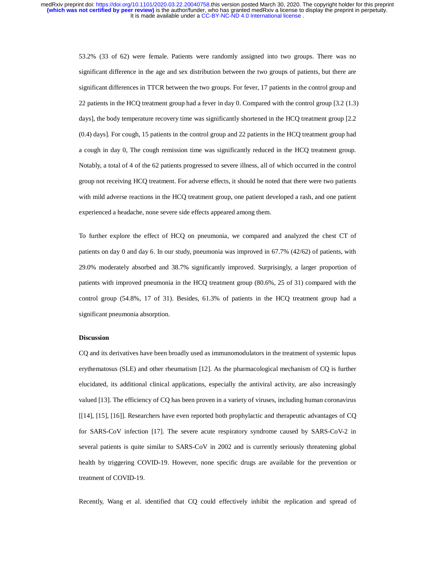It is made available under a [CC-BY-NC-ND 4.0 International license](http://creativecommons.org/licenses/by-nc-nd/4.0/) . **(which was not certified by peer review)** is the author/funder, who has granted medRxiv a license to display the preprint in perpetuity. medRxiv preprint doi: [https://doi.org/10.1101/2020.03.22.20040758.](https://doi.org/10.1101/2020.03.22.20040758)this version posted March 30, 2020. The copyright holder for this preprint

> 53.2% (33 of 62) were female. Patients were randomly assigned into two groups. There was no significant difference in the age and sex distribution between the two groups of patients, but there are significant differences in TTCR between the two groups. For fever, 17 patients in the control group and 22 patients in the HCQ treatment group had a fever in day 0. Compared with the control group [3.2 (1.3) days], the body temperature recovery time was significantly shortened in the HCQ treatment group [2.2 (0.4) days]. For cough, 15 patients in the control group and 22 patients in the HCQ treatment group had a cough in day 0, The cough remission time was significantly reduced in the HCQ treatment group. Notably, a total of 4 of the 62 patients progressed to severe illness, all of which occurred in the control group not receiving HCQ treatment. For adverse effects, it should be noted that there were two patients with mild adverse reactions in the HCQ treatment group, one patient developed a rash, and one patient experienced a headache, none severe side effects appeared among them.

> To further explore the effect of HCQ on pneumonia, we compared and analyzed the chest CT of patients on day 0 and day 6. In our study, pneumonia was improved in 67.7% (42/62) of patients, with 29.0% moderately absorbed and 38.7% significantly improved. Surprisingly, a larger proportion of patients with improved pneumonia in the HCQ treatment group (80.6%, 25 of 31) compared with the control group (54.8%, 17 of 31). Besides, 61.3% of patients in the HCQ treatment group had a significant pneumonia absorption.

## **Discussion**

CQ and its derivatives have been broadly used as immunomodulators in the treatment of systemic lupus erythematosus (SLE) and other rheumatism [12]. As the pharmacological mechanism of CQ is further elucidated, its additional clinical applications, especially the antiviral activity, are also increasingly valued [13]. The efficiency of CQ has been proven in a variety of viruses, including human coronavirus [[14], [15], [16]]. Researchers have even reported both prophylactic and therapeutic advantages of CQ for SARS-CoV infection [17]. The severe acute respiratory syndrome caused by SARS-CoV-2 in several patients is quite similar to SARS-CoV in 2002 and is currently seriously threatening global health by triggering COVID-19. However, none specific drugs are available for the prevention or treatment of COVID-19.

Recently, Wang et al. identified that CQ could effectively inhibit the replication and spread of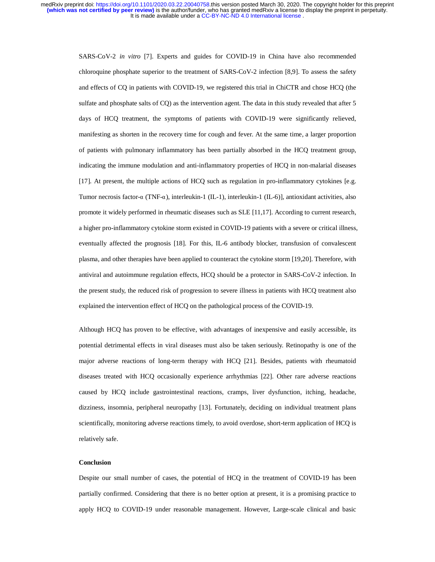It is made available under a [CC-BY-NC-ND 4.0 International license](http://creativecommons.org/licenses/by-nc-nd/4.0/) . **(which was not certified by peer review)** is the author/funder, who has granted medRxiv a license to display the preprint in perpetuity. medRxiv preprint doi: [https://doi.org/10.1101/2020.03.22.20040758.](https://doi.org/10.1101/2020.03.22.20040758)this version posted March 30, 2020. The copyright holder for this preprint

> SARS-CoV-2 *in vitro* [7]. Experts and guides for COVID-19 in China have also recommended chloroquine phosphate superior to the treatment of SARS-CoV-2 infection [8,9]. To assess the safety and effects of CQ in patients with COVID-19, we registered this trial in ChiCTR and chose HCQ (the sulfate and phosphate salts of CQ) as the intervention agent. The data in this study revealed that after 5 days of HCQ treatment, the symptoms of patients with COVID-19 were significantly relieved, manifesting as shorten in the recovery time for cough and fever. At the same time, a larger proportion of patients with pulmonary inflammatory has been partially absorbed in the HCQ treatment group, indicating the immune modulation and anti-inflammatory properties of HCQ in non-malarial diseases [17]. At present, the multiple actions of HCQ such as regulation in pro-inflammatory cytokines [e.g. Tumor necrosis factor-α (TNF-α), interleukin-1 (IL-1), interleukin-1 (IL-6)], antioxidant activities, also promote it widely performed in rheumatic diseases such as SLE [11,17]. According to current research, a higher pro-inflammatory cytokine storm existed in COVID-19 patients with a severe or critical illness, eventually affected the prognosis [18]. For this, IL-6 antibody blocker, transfusion of convalescent plasma, and other therapies have been applied to counteract the cytokine storm [19,20]. Therefore, with antiviral and autoimmune regulation effects, HCQ should be a protector in SARS-CoV-2 infection. In the present study, the reduced risk of progression to severe illness in patients with HCQ treatment also explained the intervention effect of HCQ on the pathological process of the COVID-19.

> Although HCQ has proven to be effective, with advantages of inexpensive and easily accessible, its potential detrimental effects in viral diseases must also be taken seriously. Retinopathy is one of the major adverse reactions of long-term therapy with HCQ [21]. Besides, patients with rheumatoid diseases treated with HCQ occasionally experience arrhythmias [22]. Other rare adverse reactions caused by HCQ include gastrointestinal reactions, cramps, liver dysfunction, itching, headache, dizziness, insomnia, peripheral neuropathy [13]. Fortunately, deciding on individual treatment plans scientifically, monitoring adverse reactions timely, to avoid overdose, short-term application of HCQ is relatively safe.

#### **Conclusion**

Despite our small number of cases, the potential of HCQ in the treatment of COVID-19 has been partially confirmed. Considering that there is no better option at present, it is a promising practice to apply HCQ to COVID-19 under reasonable management. However, Large-scale clinical and basic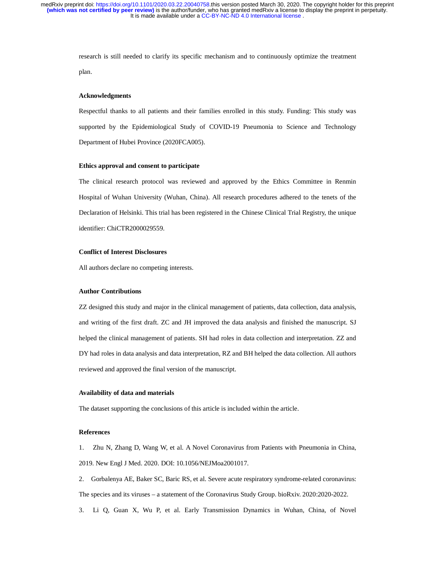> research is still needed to clarify its specific mechanism and to continuously optimize the treatment plan.

#### **Acknowledgments**

Respectful thanks to all patients and their families enrolled in this study. Funding: This study was supported by the Epidemiological Study of COVID-19 Pneumonia to Science and Technology Department of Hubei Province (2020FCA005).

#### **Ethics approval and consent to participate**

The clinical research protocol was reviewed and approved by the Ethics Committee in Renmin Hospital of Wuhan University (Wuhan, China). All research procedures adhered to the tenets of the Declaration of Helsinki. This trial has been registered in the Chinese Clinical Trial Registry, the unique identifier: ChiCTR2000029559.

#### **Conflict of Interest Disclosures**

All authors declare no competing interests.

### **Author Contributions**

ZZ designed this study and major in the clinical management of patients, data collection, data analysis, and writing of the first draft. ZC and JH improved the data analysis and finished the manuscript. SJ helped the clinical management of patients. SH had roles in data collection and interpretation. ZZ and DY had roles in data analysis and data interpretation, RZ and BH helped the data collection. All authors reviewed and approved the final version of the manuscript.

# **Availability of data and materials**

The dataset supporting the conclusions of this article is included within the article.

### **References**

1. Zhu N, Zhang D, Wang W, et al. A Novel Coronavirus from Patients with Pneumonia in China, 2019. New Engl J Med. 2020. DOI: 10.1056/NEJMoa2001017.

- 2. Gorbalenya AE, Baker SC, Baric RS, et al. Severe acute respiratory syndrome-related coronavirus: The species and its viruses – a statement of the Coronavirus Study Group. bioRxiv. 2020:2020-2022.
- 3. Li Q, Guan X, Wu P, et al. Early Transmission Dynamics in Wuhan, China, of Novel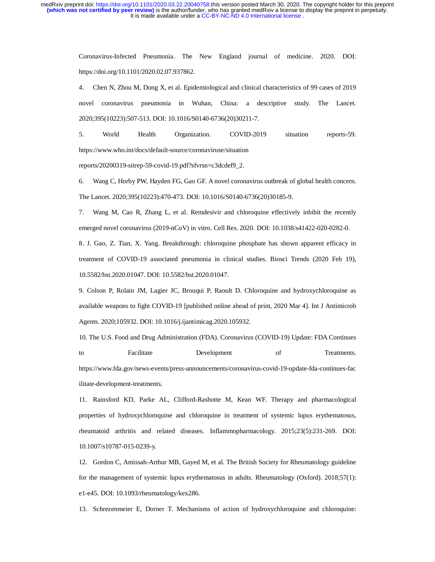> Coronavirus-Infected Pneumonia. The New England journal of medicine. 2020. DOI: https://doi.org/10.1101/2020.02.07.937862.

> 4. Chen N, Zhou M, Dong X, et al. Epidemiological and clinical characteristics of 99 cases of 2019 novel coronavirus pneumonia in Wuhan, China: a descriptive study. The Lancet. 2020;395(10223):507-513. DOI: 10.1016/S0140-6736(20)30211-7.

> 5. World Health Organization. COVID-2019 situation reports-59. https://www.who.int/docs/default-source/coronaviruse/situation

reports/20200319-sitrep-59-covid-19.pdf?sfvrsn=c3dcdef9\_2.

6. Wang C, Horby PW, Hayden FG, Gao GF. A novel coronavirus outbreak of global health concern. The Lancet. 2020;395(10223):470-473. DOI: 10.1016/S0140-6736(20)30185-9.

7. Wang M, Cao R, Zhang L, et al. Remdesivir and chloroquine effectively inhibit the recently emerged novel coronavirus (2019-nCoV) in vitro. Cell Res. 2020. DOI: 10.1038/s41422-020-0282-0.

8. J. Gao, Z. Tian, X. Yang. Breakthrough: chloroquine phosphate has shown apparent efficacy in treatment of COVID-19 associated pneumonia in clinical studies. Biosci Trends (2020 Feb 19), 10.5582/bst.2020.01047. DOI: 10.5582/bst.2020.01047.

9. Colson P, Rolain JM, Lagier JC, Brouqui P, Raoult D. Chloroquine and hydroxychloroquine as available weapons to fight COVID-19 [published online ahead of print, 2020 Mar 4]. Int J Antimicrob Agents. 2020;105932. DOI: 10.1016/j.ijantimicag.2020.105932.

10. The U.S. Food and Drug Administration (FDA). Coronavirus (COVID-19) Update: FDA Continues to Facilitate Development of Treatments. https://www.fda.gov/news-events/press-announcements/coronavirus-covid-19-update-fda-continues-fac ilitate-development-treatments.

11. Rainsford KD, Parke AL, Clifford-Rashotte M, Kean WF. Therapy and pharmacological properties of hydroxychloroquine and chloroquine in treatment of systemic lupus erythematosus, rheumatoid arthritis and related diseases. Inflammopharmacology. 2015;23(5):231-269. DOI: 10.1007/s10787-015-0239-y.

12. Gordon C, Amissah-Arthur MB, Gayed M, et al. The British Society for Rheumatology guideline for the management of systemic lupus erythematosus in adults. Rheumatology (Oxford). 2018;57(1): e1-e45. DOI: 10.1093/rheumatology/kex286.

13. Schrezenmeier E, Dorner T. Mechanisms of action of hydroxychloroquine and chloroquine: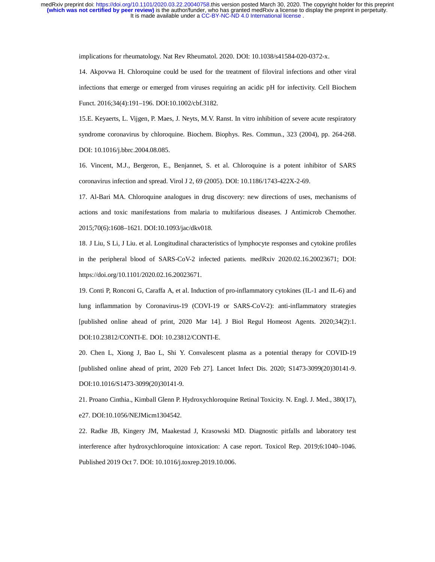implications for rheumatology. Nat Rev Rheumatol. 2020. DOI: 10.1038/s41584-020-0372-x.

14. Akpovwa H. Chloroquine could be used for the treatment of filoviral infections and other viral infections that emerge or emerged from viruses requiring an acidic pH for infectivity. Cell Biochem Funct. 2016;34(4):191–196. DOI:10.1002/cbf.3182.

15.E. Keyaerts, L. Vijgen, P. Maes, J. Neyts, M.V. Ranst. In vitro inhibition of severe acute respiratory syndrome coronavirus by chloroquine. Biochem. Biophys. Res. Commun., 323 (2004), pp. 264-268. DOI: 10.1016/j.bbrc.2004.08.085.

16. Vincent, M.J., Bergeron, E., Benjannet, S. et al. Chloroquine is a potent inhibitor of SARS coronavirus infection and spread. Virol J 2, 69 (2005). DOI: 10.1186/1743-422X-2-69.

17. Al-Bari MA. Chloroquine analogues in drug discovery: new directions of uses, mechanisms of actions and toxic manifestations from malaria to multifarious diseases. J Antimicrob Chemother. 2015;70(6):1608–1621. DOI:10.1093/jac/dkv018.

18. J Liu, S Li, J Liu. et al. Longitudinal characteristics of lymphocyte responses and cytokine profiles in the peripheral blood of SARS-CoV-2 infected patients. medRxiv 2020.02.16.20023671; DOI: https://doi.org/10.1101/2020.02.16.20023671.

19. Conti P, Ronconi G, Caraffa A, et al. Induction of pro-inflammatory cytokines (IL-1 and IL-6) and lung inflammation by Coronavirus-19 (COVI-19 or SARS-CoV-2): anti-inflammatory strategies [published online ahead of print, 2020 Mar 14]. J Biol Regul Homeost Agents. 2020;34(2):1. DOI:10.23812/CONTI-E. DOI: 10.23812/CONTI-E.

20. Chen L, Xiong J, Bao L, Shi Y. Convalescent plasma as a potential therapy for COVID-19 [published online ahead of print, 2020 Feb 27]. Lancet Infect Dis. 2020; S1473-3099(20)30141-9. DOI:10.1016/S1473-3099(20)30141-9.

21. Proano Cinthia., Kimball Glenn P. Hydroxychloroquine Retinal Toxicity. N. Engl. J. Med., 380(17), e27. DOI:10.1056/NEJMicm1304542.

22. Radke JB, Kingery JM, Maakestad J, Krasowski MD. Diagnostic pitfalls and laboratory test interference after hydroxychloroquine intoxication: A case report. Toxicol Rep. 2019;6:1040–1046. Published 2019 Oct 7. DOI: 10.1016/j.toxrep.2019.10.006.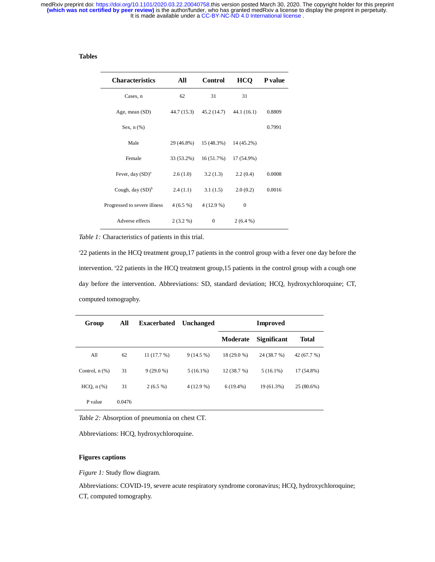# **Tables**

| <b>Characteristics</b>       | All         | <b>Control</b> | <b>HCO</b> | <b>P</b> value |
|------------------------------|-------------|----------------|------------|----------------|
| Cases, n                     | 62          | 31             | 31         |                |
| Age, mean (SD)               | 44.7 (15.3) | 45.2 (14.7)    | 44.1(16.1) | 0.8809         |
| Sex, $n$ $(\%)$              |             |                |            | 0.7991         |
| Male                         | 29 (46.8%)  | 15 (48.3%)     | 14 (45.2%) |                |
| Female                       | 33 (53.2%)  | 16(51.7%)      | 17 (54.9%) |                |
| Fever, day $(SD)^a$          | 2.6(1.0)    | 3.2(1.3)       | 2.2(0.4)   | 0.0008         |
| Cough, day $(SD)^b$          | 2.4(1.1)    | 3.1(1.5)       | 2.0(0.2)   | 0.0016         |
| Progressed to severe illness | $4(6.5\%)$  | $4(12.9\%)$    | $\Omega$   |                |
| Adverse effects              | $2(3.2\%)$  | $\mathbf{0}$   | $2(6.4\%)$ |                |

*Table 1:* Characteristics of patients in this trial.

a 22 patients in the HCQ treatment group,17 patients in the control group with a fever one day before the intervention. b 22 patients in the HCQ treatment group,15 patients in the control group with a cough one day before the intervention. Abbreviations: SD, standard deviation; HCQ, hydroxychloroquine; CT, computed tomography.

| Group               | All    | <b>Exacerbated</b> | Unchanged   | <b>Improved</b> |                    |              |
|---------------------|--------|--------------------|-------------|-----------------|--------------------|--------------|
|                     |        |                    |             | Moderate        | <b>Significant</b> | <b>Total</b> |
| All                 | 62     | 11(17.7%)          | $9(14.5\%)$ | 18 (29.0 %)     | 24 (38.7 %)        | 42 (67.7 %)  |
| Control, $n$ $(\%)$ | 31     | $9(29.0\%)$        | $5(16.1\%)$ | 12(38.7%)       | $5(16.1\%)$        | 17 (54.8%)   |
| $HCQ$ , $n$ $%$ )   | 31     | $2(6.5\%)$         | $4(12.9\%)$ | $6(19.4\%)$     | 19 (61.3%)         | 25 (80.6%)   |
| P value             | 0.0476 |                    |             |                 |                    |              |

*Table 2:* Absorption of pneumonia on chest CT.

Abbreviations: HCQ, hydroxychloroquine.

# **Figures captions**

*Figure 1:* Study flow diagram.

Abbreviations: COVID-19, severe acute respiratory syndrome coronavirus; HCQ, hydroxychloroquine; CT, computed tomography.